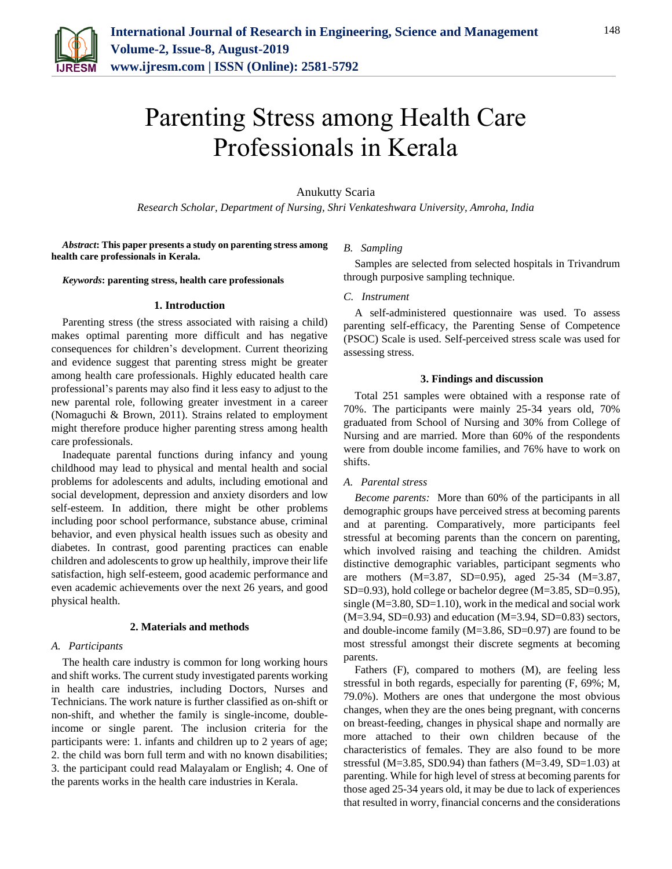

# Parenting Stress among Health Care Professionals in Kerala

# Anukutty Scaria

*Research Scholar, Department of Nursing, Shri Venkateshwara University, Amroha, India*

*Abstract***: This paper presents a study on parenting stress among health care professionals in Kerala.**

*Keywords***: parenting stress, health care professionals**

### **1. Introduction**

Parenting stress (the stress associated with raising a child) makes optimal parenting more difficult and has negative consequences for children's development. Current theorizing and evidence suggest that parenting stress might be greater among health care professionals. Highly educated health care professional's parents may also find it less easy to adjust to the new parental role, following greater investment in a career (Nomaguchi & Brown, 2011). Strains related to employment might therefore produce higher parenting stress among health care professionals.

Inadequate parental functions during infancy and young childhood may lead to physical and mental health and social problems for adolescents and adults, including emotional and social development, depression and anxiety disorders and low self-esteem. In addition, there might be other problems including poor school performance, substance abuse, criminal behavior, and even physical health issues such as obesity and diabetes. In contrast, good parenting practices can enable children and adolescents to grow up healthily, improve their life satisfaction, high self-esteem, good academic performance and even academic achievements over the next 26 years, and good physical health.

#### **2. Materials and methods**

#### *A. Participants*

The health care industry is common for long working hours and shift works. The current study investigated parents working in health care industries, including Doctors, Nurses and Technicians. The work nature is further classified as on-shift or non-shift, and whether the family is single-income, doubleincome or single parent. The inclusion criteria for the participants were: 1. infants and children up to 2 years of age; 2. the child was born full term and with no known disabilities; 3. the participant could read Malayalam or English; 4. One of the parents works in the health care industries in Kerala.

#### *B. Sampling*

Samples are selected from selected hospitals in Trivandrum through purposive sampling technique.

## *C. Instrument*

A self-administered questionnaire was used. To assess parenting self-efficacy, the Parenting Sense of Competence (PSOC) Scale is used. Self-perceived stress scale was used for assessing stress.

## **3. Findings and discussion**

Total 251 samples were obtained with a response rate of 70%. The participants were mainly 25-34 years old, 70% graduated from School of Nursing and 30% from College of Nursing and are married. More than 60% of the respondents were from double income families, and 76% have to work on shifts.

### *A. Parental stress*

*Become parents:* More than 60% of the participants in all demographic groups have perceived stress at becoming parents and at parenting. Comparatively, more participants feel stressful at becoming parents than the concern on parenting, which involved raising and teaching the children. Amidst distinctive demographic variables, participant segments who are mothers (M=3.87, SD=0.95), aged 25-34 (M=3.87, SD=0.93), hold college or bachelor degree (M=3.85, SD=0.95), single (M=3.80, SD=1.10), work in the medical and social work  $(M=3.94, SD=0.93)$  and education  $(M=3.94, SD=0.83)$  sectors, and double-income family (M=3.86, SD=0.97) are found to be most stressful amongst their discrete segments at becoming parents.

Fathers (F), compared to mothers (M), are feeling less stressful in both regards, especially for parenting (F, 69%; M, 79.0%). Mothers are ones that undergone the most obvious changes, when they are the ones being pregnant, with concerns on breast-feeding, changes in physical shape and normally are more attached to their own children because of the characteristics of females. They are also found to be more stressful (M=3.85, SD0.94) than fathers (M=3.49, SD=1.03) at parenting. While for high level of stress at becoming parents for those aged 25-34 years old, it may be due to lack of experiences that resulted in worry, financial concerns and the considerations